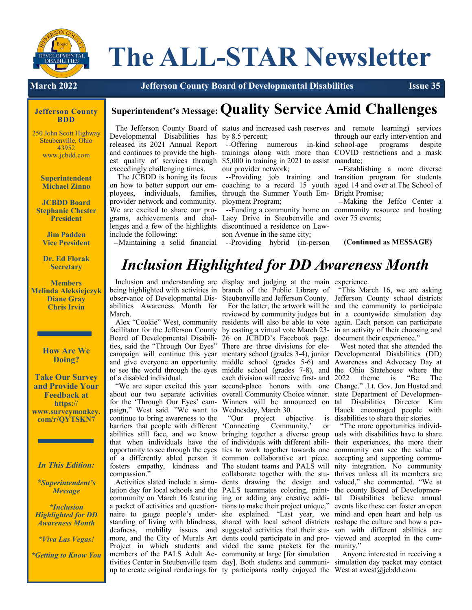

# **The ALL-STAR Newsletter**

### **March 2022 Jefferson County Board of Developmental Disabilities Issue 35**

#### **Jefferson County BDD**

250 John Scott Highway Steubenville, Ohio 43952 www.jcbdd.com

> **Superintendent Michael Zinno**

**JCBDD Board Stephanie Chester President**

> **Jim Padden Vice President**

**Dr. Ed Florak Secretary**

**Members Melinda Aleksiejczyk Diane Gray Chris Irvin**

> **How Are We Doing?**

**Take Our Survey and Provide Your Feedback at https:// www.surveymonkey. com/r/QYTSKN7** 

### *In This Edition:*

*\*Superintendent's Message*

*\*Inclusion Highlighted for DD Awareness Month*

*\*Viva Las Vegas!*

*\*Getting to Know You*

### **Superintendent's Message:Quality Service Amid Challenges**

Developmental Disabilities has by 8.5 percent; and continues to provide the high-trainings along with more than est quality of services through \$5,000 in training in 2021 to assist exceedingly challenging times.

on how to better support our em-coaching to a record 15 youth ployees, individuals, families, through the Summer Youth Emprovider network and community. ployment Program; We are excited to share our programs, achievements and chal-Lacy Drive in Steubenville and over 75 events; lenges and a few of the highlights discontinued a residence on Lawinclude the following:

--Maintaining a solid financial --Providing hybrid (in-person

our provider network;

The JCBDD is honing its focus --Providing job training and

son Avenue in the same city;

 The Jefferson County Board of status and increased cash reserves and remote learning) services released its 2021 Annual Report --Offering numerous in-kind school-age programs despite through our early intervention and COVID restrictions and a mask mandate;

 --Establishing a more diverse transition program for students aged 14 and over at The School of Bright Promise;

 --Funding a community home on community resource and hosting --Making the Jeffco Center a

**(Continued as MESSAGE)**

## *Inclusion Highlighted for DD Awareness Month*

being highlighted with activities in branch of the Public Library of observance of Developmental Dis-Steubenville and Jefferson County. Jefferson County school districts abilities Awareness Month for March.

 Alex "Cookie" West, community residents will also be able to vote again. Each person can participate facilitator for the Jefferson County by casting a virtual vote March 23- in an activity of their choosing and Board of Developmental Disabili-26 on JCBDD's Facebook page. document their experience." ties, said the "Through Our Eyes" There are three divisions for eleof a disabled individual.

about our two separate activities overall Community Choice winner. state Department of Developmenfor the 'Through Our Eyes' cam-Winners will be announced on tal Disabilities Director Kim paign," West said. "We want to Wednesday, March 30. continue to bring awareness to the barriers that people with different 'Connecting abilities still face, and we know bringing together a diverse group uals with disabilities have to share that when individuals have the of individuals with different abili-their experiences, the more their opportunity to see through the eyes ties to work together towards one community can see the value of of a differently abled person it common collaborative art piece. accepting and supporting commufosters empathy, kindness and The student teams and PALS will nity integration. No community compassion."

lation day for local schools and the PALS teammates coloring, paint-the county Board of Developmencommunity on March 16 featuring ing or adding any creative addi- tal Disabilities believe annual a packet of activities and question-tions to make their project unique," naire to gauge people's under-she explained. "Last year, we mind and open heart and help us standing of living with blindness, shared with local school districts reshape the culture and how a perdeafness, mobility issues and suggested activities that their stu-son with different abilities are more, and the City of Murals Art dents could participate in and pro- viewed and accepted in the com-Project in which students and vided the same packets for the munity." members of the PALS Adult Ac-community at large [for simulation tivities Center in Steubenville team day]. Both students and communi-simulation day packet may contact

Inclusion and understanding are display and judging at the main experience.

reviewed by community judges but in a countywide simulation day each division will receive first- and 2022

 Activities slated include a simu-dents drawing the design and valued," she commented. "We at up to create original renderings for ty participants really enjoyed the West at awest@jcbdd.com. "Our project objective Community,' or collaborate together with the stu-thrives unless all its members are

 For the latter, the artwork will be and the community to participate "This March 16, we are asking

campaign will continue this year mentary school (grades 3-4), junior Developmental Disabilities (DD) and give everyone an opportunity middle school (grades 5-6) and Awareness and Advocacy Day at to see the world through the eyes middle school (grades 7-8), and the Ohio Statehouse where the "We are super excited this year second-place honors with one Change." .Lt. Gov. Jon Husted and West noted that she attended the theme is "Be The Hauck encouraged people with is disabilities to share their stories.

> "The more opportunities individevents like these can foster an open

Anyone interested in receiving a